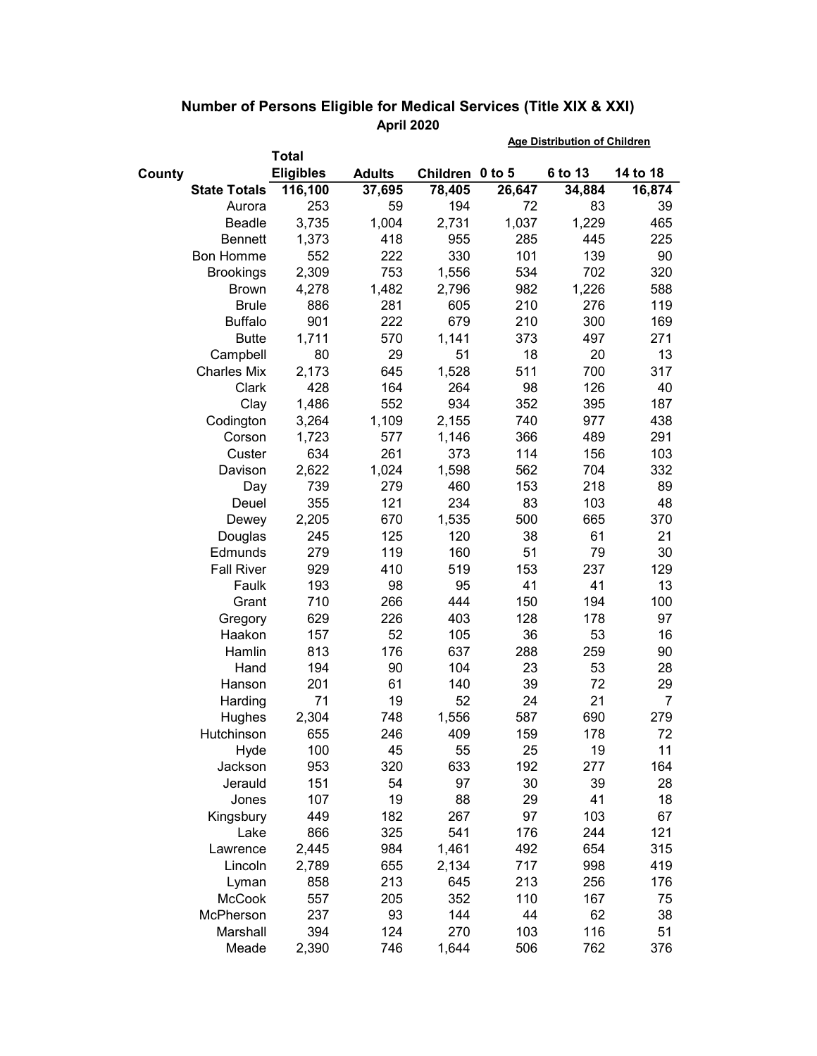|        |                     |                  |               |                 | <b>Age Distribution of Children</b> |         |          |  |
|--------|---------------------|------------------|---------------|-----------------|-------------------------------------|---------|----------|--|
|        | <b>Total</b>        |                  |               |                 |                                     |         |          |  |
| County |                     | <b>Eligibles</b> | <b>Adults</b> | Children 0 to 5 |                                     | 6 to 13 | 14 to 18 |  |
|        | <b>State Totals</b> | 116,100          | 37,695        | 78,405          | 26,647                              | 34,884  | 16,874   |  |
|        | Aurora              | 253              | 59            | 194             | 72                                  | 83      | 39       |  |
|        | Beadle              | 3,735            | 1,004         | 2,731           | 1,037                               | 1,229   | 465      |  |
|        | <b>Bennett</b>      | 1,373            | 418           | 955             | 285                                 | 445     | 225      |  |
|        | Bon Homme           | 552              | 222           | 330             | 101                                 | 139     | 90       |  |
|        | <b>Brookings</b>    | 2,309            | 753           | 1,556           | 534                                 | 702     | 320      |  |
|        | <b>Brown</b>        | 4,278            | 1,482         | 2,796           | 982                                 | 1,226   | 588      |  |
|        | <b>Brule</b>        | 886              | 281           | 605             | 210                                 | 276     | 119      |  |
|        | <b>Buffalo</b>      | 901              | 222           | 679             | 210                                 | 300     | 169      |  |
|        | <b>Butte</b>        | 1,711            | 570           | 1,141           | 373                                 | 497     | 271      |  |
|        | Campbell            | 80               | 29            | 51              | 18                                  | 20      | 13       |  |
|        | <b>Charles Mix</b>  | 2,173            | 645           | 1,528           | 511                                 | 700     | 317      |  |
|        | Clark               | 428              | 164           | 264             | 98                                  | 126     | 40       |  |
|        | Clay                | 1,486            | 552           | 934             | 352                                 | 395     | 187      |  |
|        | Codington           | 3,264            | 1,109         | 2,155           | 740                                 | 977     | 438      |  |
|        | Corson              | 1,723            | 577           | 1,146           | 366                                 | 489     | 291      |  |
|        | Custer              | 634              | 261           | 373             | 114                                 | 156     | 103      |  |
|        | Davison             | 2,622            | 1,024         | 1,598           | 562                                 | 704     | 332      |  |
|        | Day                 | 739              | 279           | 460             | 153                                 | 218     | 89       |  |
|        | Deuel               | 355              | 121           | 234             | 83                                  | 103     | 48       |  |
|        | Dewey               | 2,205            | 670           | 1,535           | 500                                 | 665     | 370      |  |
|        | Douglas             | 245              | 125           | 120             | 38                                  | 61      | 21       |  |
|        | Edmunds             | 279              | 119           | 160             | 51                                  | 79      | 30       |  |
|        | <b>Fall River</b>   | 929              | 410           | 519             | 153                                 | 237     | 129      |  |
|        | Faulk               | 193              | 98            | 95              | 41                                  | 41      | 13       |  |
|        | Grant               | 710              | 266           | 444             | 150                                 | 194     | 100      |  |
|        | Gregory             | 629              | 226           | 403             | 128                                 | 178     | 97       |  |
|        | Haakon              | 157              | 52            | 105             | 36                                  | 53      | 16       |  |
|        | Hamlin              | 813              | 176           | 637             | 288                                 | 259     | 90       |  |
|        | Hand                | 194              | 90            | 104             | 23                                  | 53      | 28       |  |
|        | Hanson              | 201              | 61            | 140             | 39                                  | 72      | 29       |  |
|        | Harding             | 71               | 19            | 52              | 24                                  | 21      | 7        |  |
|        | Hughes              | 2,304            | 748           | 1,556           | 587                                 | 690     | 279      |  |
|        | Hutchinson          | 655              | 246           | 409             | 159                                 | 178     | 72       |  |
|        | Hyde                | 100              | 45            | 55              | 25                                  | 19      | 11       |  |
|        | Jackson             | 953              | 320           | 633             | 192                                 | 277     | 164      |  |
|        | Jerauld             | 151              | 54            | 97              | 30                                  | 39      | 28       |  |
|        | Jones               | 107              | 19            | 88              | 29                                  | 41      | 18       |  |
|        | Kingsbury           | 449              | 182           | 267             | 97                                  | 103     | 67       |  |
|        | Lake                | 866              | 325           | 541             | 176                                 | 244     | 121      |  |
|        | Lawrence            | 2,445            | 984           | 1,461           | 492                                 | 654     | 315      |  |
|        | Lincoln             | 2,789            | 655           | 2,134           | 717                                 | 998     | 419      |  |
|        | Lyman               | 858              | 213           | 645             | 213                                 | 256     | 176      |  |
|        | <b>McCook</b>       | 557              | 205           | 352             | 110                                 | 167     | 75       |  |
|        | McPherson           | 237              | 93            | 144             | 44                                  | 62      | 38       |  |
|        | Marshall            | 394              | 124           | 270             | 103                                 | 116     | 51       |  |
|        | Meade               | 2,390            | 746           | 1,644           | 506                                 | 762     | 376      |  |

## Number of Persons Eligible for Medical Services (Title XIX & XXI) April 2020